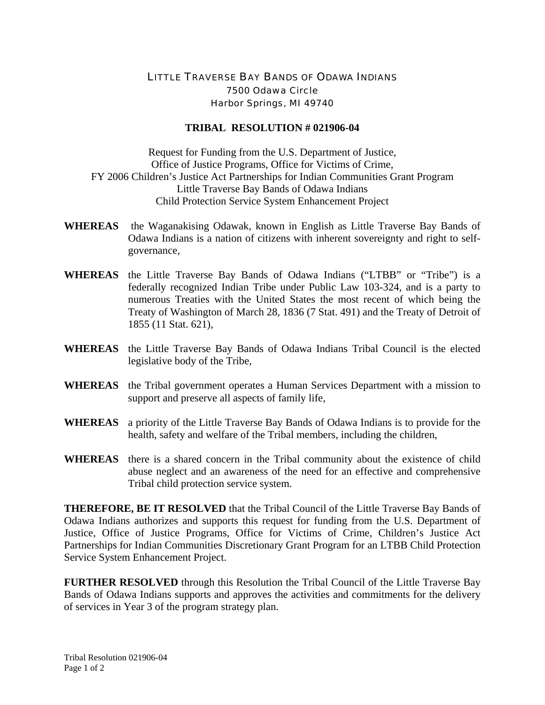## LITTLE TRAVERSE BAY BANDS OF ODAWA INDIANS 7500 Odawa Circle Harbor Springs, MI 49740

## **TRIBAL RESOLUTION # 021906-04**

Request for Funding from the U.S. Department of Justice, Office of Justice Programs, Office for Victims of Crime, FY 2006 Children's Justice Act Partnerships for Indian Communities Grant Program Little Traverse Bay Bands of Odawa Indians Child Protection Service System Enhancement Project

- **WHEREAS** the Waganakising Odawak, known in English as Little Traverse Bay Bands of Odawa Indians is a nation of citizens with inherent sovereignty and right to selfgovernance,
- **WHEREAS** the Little Traverse Bay Bands of Odawa Indians ("LTBB" or "Tribe") is a federally recognized Indian Tribe under Public Law 103-324, and is a party to numerous Treaties with the United States the most recent of which being the Treaty of Washington of March 28, 1836 (7 Stat. 491) and the Treaty of Detroit of 1855 (11 Stat. 621),
- **WHEREAS** the Little Traverse Bay Bands of Odawa Indians Tribal Council is the elected legislative body of the Tribe,
- **WHEREAS** the Tribal government operates a Human Services Department with a mission to support and preserve all aspects of family life,
- **WHEREAS** a priority of the Little Traverse Bay Bands of Odawa Indians is to provide for the health, safety and welfare of the Tribal members, including the children,
- **WHEREAS** there is a shared concern in the Tribal community about the existence of child abuse neglect and an awareness of the need for an effective and comprehensive Tribal child protection service system.

**THEREFORE, BE IT RESOLVED** that the Tribal Council of the Little Traverse Bay Bands of Odawa Indians authorizes and supports this request for funding from the U.S. Department of Justice, Office of Justice Programs, Office for Victims of Crime, Children's Justice Act Partnerships for Indian Communities Discretionary Grant Program for an LTBB Child Protection Service System Enhancement Project.

**FURTHER RESOLVED** through this Resolution the Tribal Council of the Little Traverse Bay Bands of Odawa Indians supports and approves the activities and commitments for the delivery of services in Year 3 of the program strategy plan.